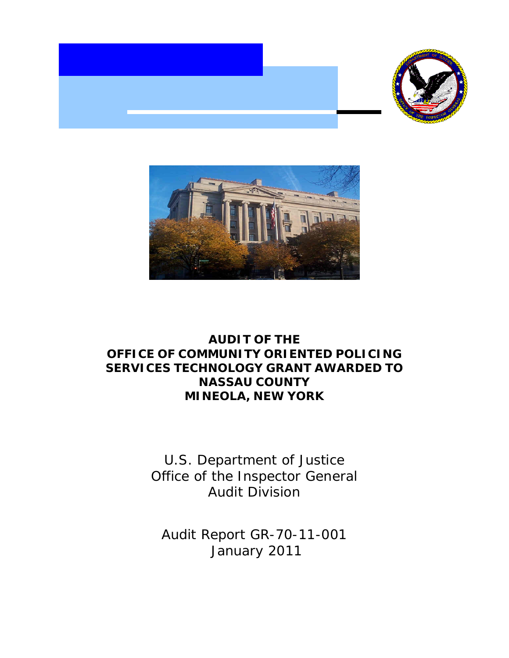



# **AUDIT OF THE OFFICE OF COMMUNITY ORIENTED POLICING SERVICES TECHNOLOGY GRANT AWARDED TO MINEOLA, NEW YORK NASSAU COUNTY**

U.S. Department of Justice Office of the Inspector General Audit Division

Audit Report GR-70-11-001 January 2011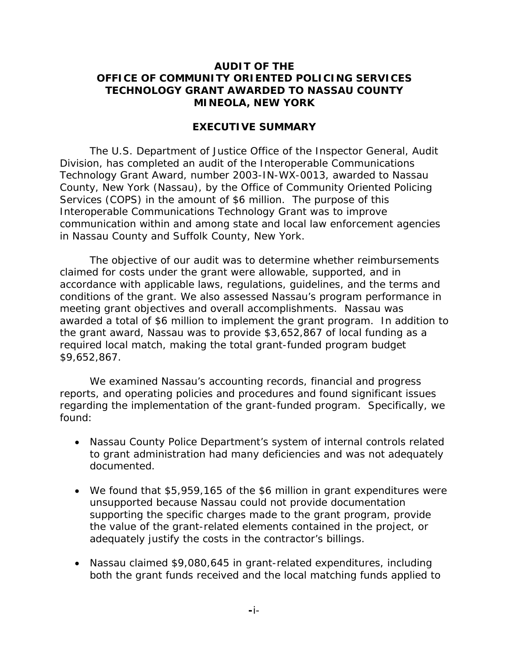### **AUDIT OF THE OFFICE OF COMMUNITY ORIENTED POLICING SERVICES TECHNOLOGY GRANT AWARDED TO NASSAU COUNTY MINEOLA, NEW YORK**

#### **EXECUTIVE SUMMARY**

The U.S. Department of Justice Office of the Inspector General, Audit Division, has completed an audit of the Interoperable Communications Technology Grant Award, number 2003-IN-WX-0013, awarded to Nassau County, New York (Nassau), by the Office of Community Oriented Policing Services (COPS) in the amount of \$6 million. The purpose of this Interoperable Communications Technology Grant was to improve communication within and among state and local law enforcement agencies in Nassau County and Suffolk County, New York.

The objective of our audit was to determine whether reimbursements claimed for costs under the grant were allowable, supported, and in accordance with applicable laws, regulations, guidelines, and the terms and conditions of the grant. We also assessed Nassau's program performance in meeting grant objectives and overall accomplishments. Nassau was awarded a total of \$6 million to implement the grant program. In addition to the grant award, Nassau was to provide \$3,652,867 of local funding as a required local match, making the total grant-funded program budget \$9,652,867.

We examined Nassau's accounting records, financial and progress reports, and operating policies and procedures and found significant issues regarding the implementation of the grant-funded program. Specifically, we found:

- Nassau County Police Department's system of internal controls related to grant administration had many deficiencies and was not adequately documented.
- We found that \$5,959,165 of the \$6 million in grant expenditures were unsupported because Nassau could not provide documentation supporting the specific charges made to the grant program, provide the value of the grant-related elements contained in the project, or adequately justify the costs in the contractor's billings.
- Nassau claimed \$9,080,645 in grant-related expenditures, including both the grant funds received and the local matching funds applied to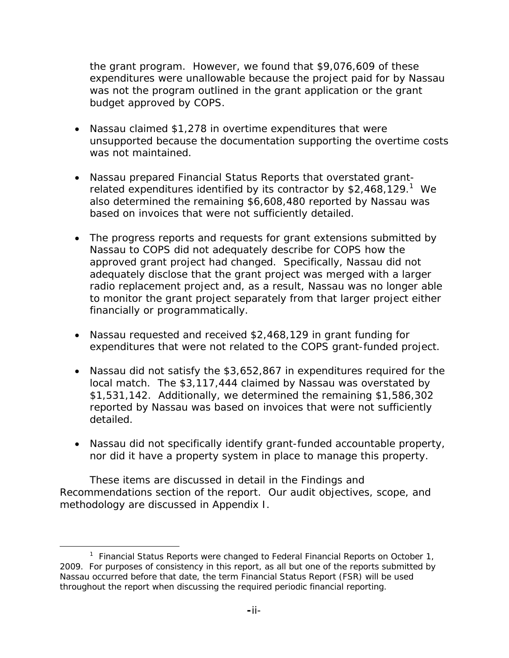the grant program. However, we found that \$9,076,609 of these expenditures were unallowable because the project paid for by Nassau was not the program outlined in the grant application or the grant budget approved by COPS.

- Nassau claimed \$1,278 in overtime expenditures that were unsupported because the documentation supporting the overtime costs was not maintained.
- Nassau prepared Financial Status Reports that overstated grantrelated expenditures identified by its contractor by  $$2,468,129.<sup>1</sup>$  We also determined the remaining \$6,608,480 reported by Nassau was based on invoices that were not sufficiently detailed.
- The progress reports and requests for grant extensions submitted by Nassau to COPS did not adequately describe for COPS how the approved grant project had changed. Specifically, Nassau did not adequately disclose that the grant project was merged with a larger radio replacement project and, as a result, Nassau was no longer able to monitor the grant project separately from that larger project either financially or programmatically.
- Nassau requested and received \$2,468,129 in grant funding for expenditures that were not related to the COPS grant-funded project.
- Nassau did not satisfy the \$3,652,867 in expenditures required for the local match. The \$3,117,444 claimed by Nassau was overstated by \$1,531,142. Additionally, we determined the remaining \$1,586,302 reported by Nassau was based on invoices that were not sufficiently detailed.
- Nassau did not specifically identify grant-funded accountable property, nor did it have a property system in place to manage this property.

These items are discussed in detail in the Findings and Recommendations section of the report. Our audit objectives, scope, and methodology are discussed in Appendix I.

 throughout the report when discussing the required periodic financial reporting. <sup>1</sup> Financial Status Reports were changed to Federal Financial Reports on October 1, 2009. For purposes of consistency in this report, as all but one of the reports submitted by Nassau occurred before that date, the term Financial Status Report (FSR) will be used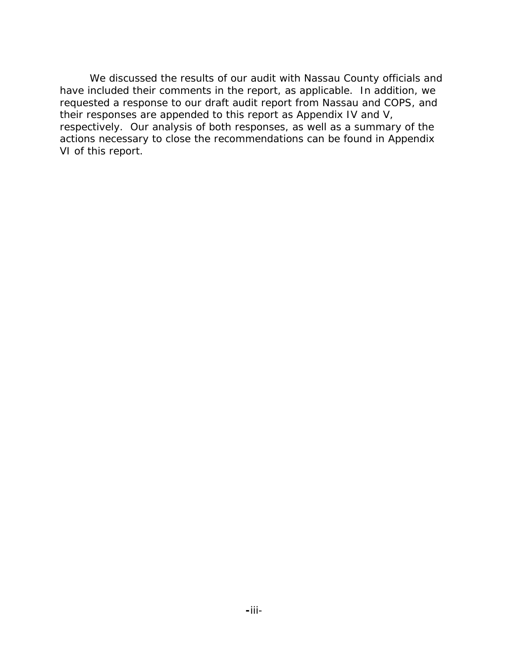We discussed the results of our audit with Nassau County officials and have included their comments in the report, as applicable. In addition, we requested a response to our draft audit report from Nassau and COPS, and their responses are appended to this report as Appendix IV and V, respectively. Our analysis of both responses, as well as a summary of the actions necessary to close the recommendations can be found in Appendix VI of this report.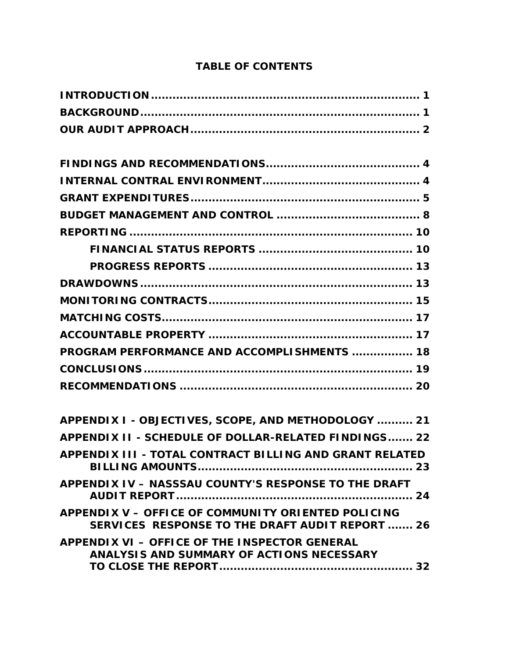| <b>PROGRAM PERFORMANCE AND ACCOMPLISHMENTS  18</b>                                                           |
|--------------------------------------------------------------------------------------------------------------|
|                                                                                                              |
|                                                                                                              |
| APPENDIX I - OBJECTIVES, SCOPE, AND METHODOLOGY  21                                                          |
| APPENDIX II - SCHEDULE OF DOLLAR-RELATED FINDINGS 22                                                         |
| APPENDIX III - TOTAL CONTRACT BILLING AND GRANT RELATED                                                      |
| APPENDIX IV - NASSSAU COUNTY'S RESPONSE TO THE DRAFT                                                         |
| <b>APPENDIX V - OFFICE OF COMMUNITY ORIENTED POLICING</b><br>SERVICES RESPONSE TO THE DRAFT AUDIT REPORT  26 |
| APPENDIX VI - OFFICE OF THE INSPECTOR GENERAL<br>ANALYSIS AND SUMMARY OF ACTIONS NECESSARY                   |

# **TABLE OF CONTENTS**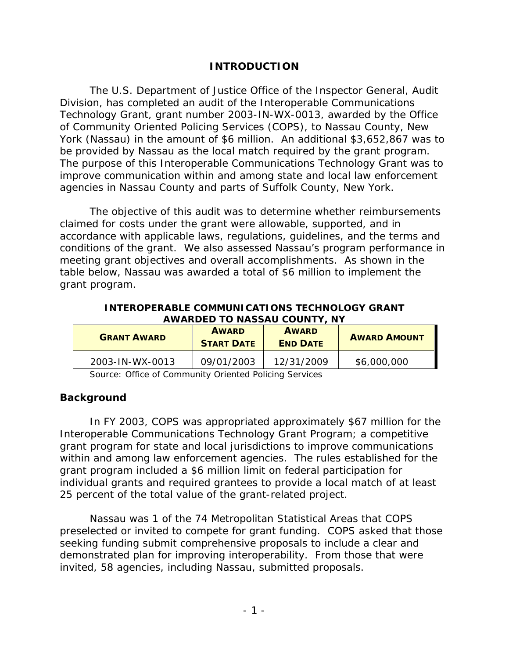# **INTRODUCTION**

The U.S. Department of Justice Office of the Inspector General, Audit Division, has completed an audit of the Interoperable Communications Technology Grant, grant number 2003-IN-WX-0013, awarded by the Office of Community Oriented Policing Services (COPS), to Nassau County, New York (Nassau) in the amount of \$6 million. An additional \$3,652,867 was to be provided by Nassau as the local match required by the grant program. The purpose of this Interoperable Communications Technology Grant was to improve communication within and among state and local law enforcement agencies in Nassau County and parts of Suffolk County, New York.

The objective of this audit was to determine whether reimbursements claimed for costs under the grant were allowable, supported, and in accordance with applicable laws, regulations, guidelines, and the terms and conditions of the grant. We also assessed Nassau's program performance in meeting grant objectives and overall accomplishments. As shown in the table below, Nassau was awarded a total of \$6 million to implement the grant program.

**INTEROPERABLE COMMUNICATIONS TECHNOLOGY GRANT AWARDED TO NASSAU COUNTY, NY** 

| <b>GRANT AWARD</b> | <b>AWARD</b><br><b>START DATE</b> | <b>AWARD</b><br><b>END DATE</b> | <b>AWARD AMOUNT</b> |
|--------------------|-----------------------------------|---------------------------------|---------------------|
| 2003-IN-WX-0013    | 09/01/2003                        | 12/31/2009                      | \$6,000,000         |

Source: Office of Community Oriented Policing Services

# **Background**

In FY 2003, COPS was appropriated approximately \$67 million for the Interoperable Communications Technology Grant Program; a competitive grant program for state and local jurisdictions to improve communications within and among law enforcement agencies. The rules established for the grant program included a \$6 million limit on federal participation for individual grants and required grantees to provide a local match of at least 25 percent of the total value of the grant-related project.

Nassau was 1 of the 74 Metropolitan Statistical Areas that COPS preselected or invited to compete for grant funding. COPS asked that those seeking funding submit comprehensive proposals to include a clear and demonstrated plan for improving interoperability. From those that were invited, 58 agencies, including Nassau, submitted proposals.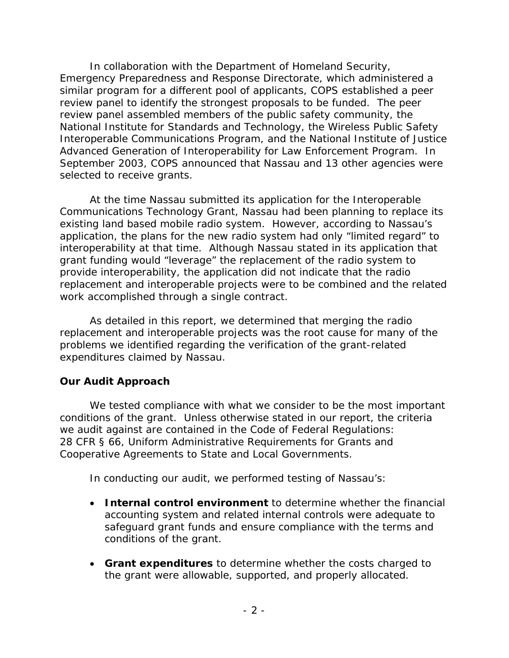In collaboration with the Department of Homeland Security, Emergency Preparedness and Response Directorate, which administered a similar program for a different pool of applicants, COPS established a peer review panel to identify the strongest proposals to be funded. The peer review panel assembled members of the public safety community, the National Institute for Standards and Technology, the Wireless Public Safety Interoperable Communications Program, and the National Institute of Justice Advanced Generation of Interoperability for Law Enforcement Program. In September 2003, COPS announced that Nassau and 13 other agencies were selected to receive grants.

 work accomplished through a single contract. At the time Nassau submitted its application for the Interoperable Communications Technology Grant, Nassau had been planning to replace its existing land based mobile radio system. However, according to Nassau's application, the plans for the new radio system had only "limited regard" to interoperability at that time. Although Nassau stated in its application that grant funding would "leverage" the replacement of the radio system to provide interoperability, the application did not indicate that the radio replacement and interoperable projects were to be combined and the related

As detailed in this report, we determined that merging the radio replacement and interoperable projects was the root cause for many of the problems we identified regarding the verification of the grant-related expenditures claimed by Nassau.

# **Our Audit Approach**

we audit against are contained in the Code of Federal Regulations: We tested compliance with what we consider to be the most important conditions of the grant. Unless otherwise stated in our report, the criteria 28 CFR § 66, Uniform Administrative Requirements for Grants and Cooperative Agreements to State and Local Governments.

In conducting our audit, we performed testing of Nassau's:

- **Internal control environment** to determine whether the financial accounting system and related internal controls were adequate to safeguard grant funds and ensure compliance with the terms and conditions of the grant.
- **Grant expenditures** to determine whether the costs charged to the grant were allowable, supported, and properly allocated.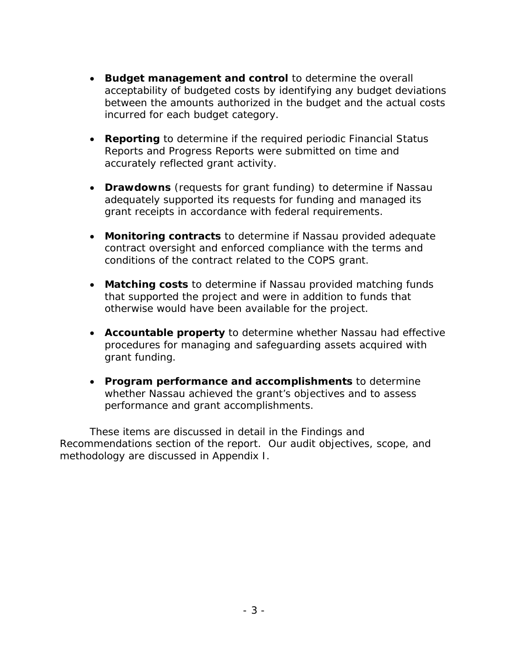- **Budget management and control** to determine the overall acceptability of budgeted costs by identifying any budget deviations between the amounts authorized in the budget and the actual costs incurred for each budget category.
- **Reporting** to determine if the required periodic Financial Status Reports and Progress Reports were submitted on time and accurately reflected grant activity.
- **Drawdowns** (requests for grant funding) to determine if Nassau adequately supported its requests for funding and managed its grant receipts in accordance with federal requirements.
- **Monitoring contracts** to determine if Nassau provided adequate contract oversight and enforced compliance with the terms and conditions of the contract related to the COPS grant.
- **Matching costs** to determine if Nassau provided matching funds that supported the project and were in addition to funds that otherwise would have been available for the project.
- **Accountable property** to determine whether Nassau had effective procedures for managing and safeguarding assets acquired with grant funding.
- **Program performance and accomplishments** to determine whether Nassau achieved the grant's objectives and to assess performance and grant accomplishments.

These items are discussed in detail in the Findings and Recommendations section of the report. Our audit objectives, scope, and methodology are discussed in Appendix I.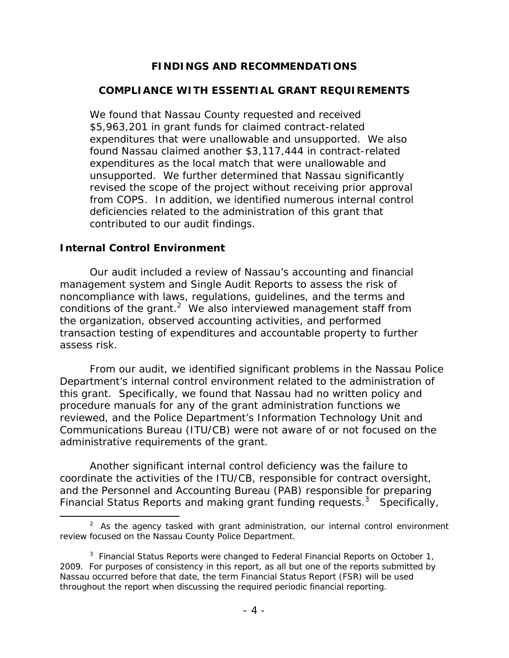# **FINDINGS AND RECOMMENDATIONS**

## **COMPLIANCE WITH ESSENTIAL GRANT REQUIREMENTS**

We found that Nassau County requested and received \$5,963,201 in grant funds for claimed contract-related expenditures that were unallowable and unsupported. We also found Nassau claimed another \$3,117,444 in contract-related expenditures as the local match that were unallowable and unsupported. We further determined that Nassau significantly revised the scope of the project without receiving prior approval from COPS. In addition, we identified numerous internal control deficiencies related to the administration of this grant that contributed to our audit findings.

#### **Internal Control Environment**

Our audit included a review of Nassau's accounting and financial management system and Single Audit Reports to assess the risk of noncompliance with laws, regulations, guidelines, and the terms and conditions of the grant. $2$  We also interviewed management staff from the organization, observed accounting activities, and performed transaction testing of expenditures and accountable property to further assess risk.

From our audit, we identified significant problems in the Nassau Police Department's internal control environment related to the administration of this grant. Specifically, we found that Nassau had no written policy and procedure manuals for any of the grant administration functions we reviewed, and the Police Department's Information Technology Unit and Communications Bureau (ITU/CB) were not aware of or not focused on the administrative requirements of the grant.

Another significant internal control deficiency was the failure to coordinate the activities of the ITU/CB, responsible for contract oversight, and the Personnel and Accounting Bureau (PAB) responsible for preparing Financial Status Reports and making grant funding requests.<sup>3</sup> Specifically,

 $2$  As the agency tasked with grant administration, our internal control environment review focused on the Nassau County Police Department.

throughout the report when discussing the required periodic financial reporting.<br>- 4 -<sup>3</sup> Financial Status Reports were changed to Federal Financial Reports on October 1, 2009. For purposes of consistency in this report, as all but one of the reports submitted by Nassau occurred before that date, the term Financial Status Report (FSR) will be used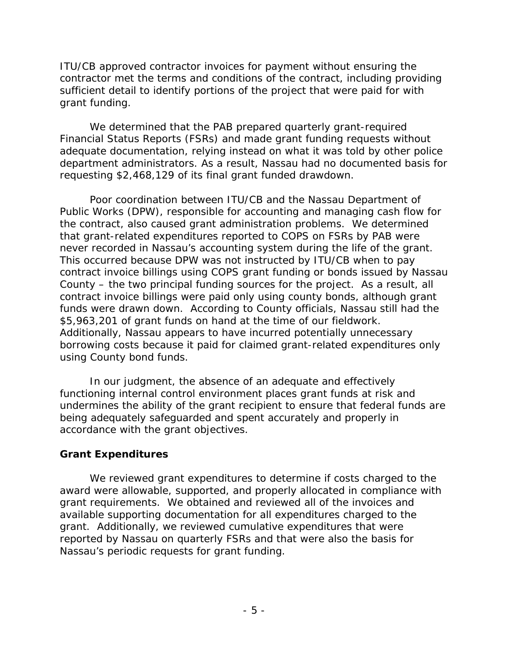ITU/CB approved contractor invoices for payment without ensuring the contractor met the terms and conditions of the contract, including providing sufficient detail to identify portions of the project that were paid for with grant funding.

We determined that the PAB prepared quarterly grant-required Financial Status Reports (FSRs) and made grant funding requests without adequate documentation, relying instead on what it was told by other police department administrators. As a result, Nassau had no documented basis for requesting \$2,468,129 of its final grant funded drawdown.

 County – the two principal funding sources for the project. As a result, all Poor coordination between ITU/CB and the Nassau Department of Public Works (DPW), responsible for accounting and managing cash flow for the contract, also caused grant administration problems. We determined that grant-related expenditures reported to COPS on FSRs by PAB were never recorded in Nassau's accounting system during the life of the grant. This occurred because DPW was not instructed by ITU/CB when to pay contract invoice billings using COPS grant funding or bonds issued by Nassau contract invoice billings were paid only using county bonds, although grant funds were drawn down. According to County officials, Nassau still had the \$5,963,201 of grant funds on hand at the time of our fieldwork. Additionally, Nassau appears to have incurred potentially unnecessary borrowing costs because it paid for claimed grant-related expenditures only using County bond funds.

In our judgment, the absence of an adequate and effectively functioning internal control environment places grant funds at risk and undermines the ability of the grant recipient to ensure that federal funds are being adequately safeguarded and spent accurately and properly in accordance with the grant objectives.

# **Grant Expenditures**

We reviewed grant expenditures to determine if costs charged to the award were allowable, supported, and properly allocated in compliance with grant requirements. We obtained and reviewed all of the invoices and available supporting documentation for all expenditures charged to the grant. Additionally, we reviewed cumulative expenditures that were reported by Nassau on quarterly FSRs and that were also the basis for Nassau's periodic requests for grant funding.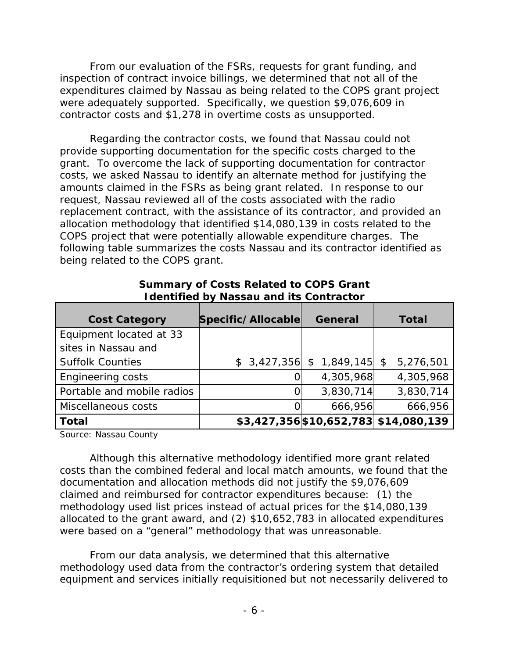From our evaluation of the FSRs, requests for grant funding, and inspection of contract invoice billings, we determined that not all of the expenditures claimed by Nassau as being related to the COPS grant project were adequately supported. Specifically, we question \$9,076,609 in contractor costs and \$1,278 in overtime costs as unsupported.

Regarding the contractor costs, we found that Nassau could not provide supporting documentation for the specific costs charged to the grant. To overcome the lack of supporting documentation for contractor costs, we asked Nassau to identify an alternate method for justifying the amounts claimed in the FSRs as being grant related. In response to our request, Nassau reviewed all of the costs associated with the radio replacement contract, with the assistance of its contractor, and provided an allocation methodology that identified \$14,080,139 in costs related to the COPS project that were potentially allowable expenditure charges. The following table summarizes the costs Nassau and its contractor identified as being related to the COPS grant.

| <b>Cost Category</b>       | Specific/Allocable | <b>General</b> | <b>Total</b>                          |
|----------------------------|--------------------|----------------|---------------------------------------|
| Equipment located at 33    |                    |                |                                       |
| sites in Nassau and        |                    |                |                                       |
| <b>Suffolk Counties</b>    | \$3,427,356        | \$1,849,145    | 5,276,501<br>\$                       |
| <b>Engineering costs</b>   |                    | 4,305,968      | 4,305,968                             |
| Portable and mobile radios |                    | 3,830,714      | 3,830,714                             |
| Miscellaneous costs        |                    | 666,956        | 666,956                               |
| <b>Total</b>               |                    |                | \$3,427,356 \$10,652,783 \$14,080,139 |

 **Summary of Costs Related to COPS Grant Identified by Nassau and its Contractor** 

Source: Nassau County

Although this alternative methodology identified more grant related costs than the combined federal and local match amounts, we found that the documentation and allocation methods did not justify the \$9,076,609 claimed and reimbursed for contractor expenditures because: (1) the methodology used list prices instead of actual prices for the \$14,080,139 allocated to the grant award, and (2) \$10,652,783 in allocated expenditures were based on a "general" methodology that was unreasonable.

From our data analysis, we determined that this alternative methodology used data from the contractor's ordering system that detailed equipment and services initially requisitioned but not necessarily delivered to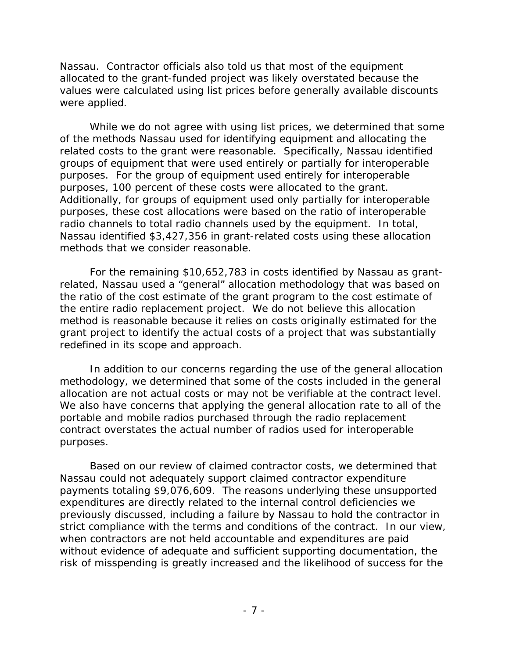Nassau. Contractor officials also told us that most of the equipment allocated to the grant-funded project was likely overstated because the values were calculated using list prices before generally available discounts were applied.

While we do not agree with using list prices, we determined that some of the methods Nassau used for identifying equipment and allocating the related costs to the grant were reasonable. Specifically, Nassau identified groups of equipment that were used entirely or partially for interoperable purposes. For the group of equipment used entirely for interoperable purposes, 100 percent of these costs were allocated to the grant. Additionally, for groups of equipment used only partially for interoperable purposes, these cost allocations were based on the ratio of interoperable radio channels to total radio channels used by the equipment. In total, Nassau identified \$3,427,356 in grant-related costs using these allocation methods that we consider reasonable.

For the remaining \$10,652,783 in costs identified by Nassau as grantrelated, Nassau used a "general" allocation methodology that was based on the ratio of the cost estimate of the grant program to the cost estimate of the entire radio replacement project. We do not believe this allocation method is reasonable because it relies on costs originally estimated for the grant project to identify the actual costs of a project that was substantially redefined in its scope and approach.

In addition to our concerns regarding the use of the general allocation methodology, we determined that some of the costs included in the general allocation are not actual costs or may not be verifiable at the contract level. We also have concerns that applying the general allocation rate to all of the portable and mobile radios purchased through the radio replacement contract overstates the actual number of radios used for interoperable purposes.

Based on our review of claimed contractor costs, we determined that Nassau could not adequately support claimed contractor expenditure payments totaling \$9,076,609. The reasons underlying these unsupported expenditures are directly related to the internal control deficiencies we previously discussed, including a failure by Nassau to hold the contractor in strict compliance with the terms and conditions of the contract. In our view, when contractors are not held accountable and expenditures are paid without evidence of adequate and sufficient supporting documentation, the risk of misspending is greatly increased and the likelihood of success for the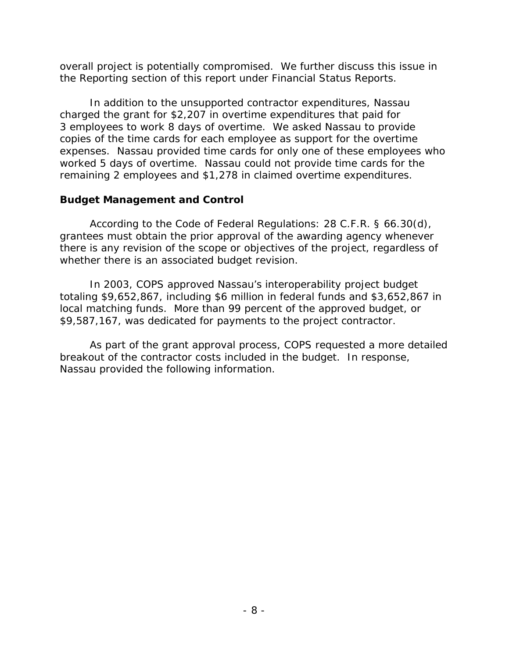overall project is potentially compromised. We further discuss this issue in the Reporting section of this report under Financial Status Reports.

In addition to the unsupported contractor expenditures, Nassau charged the grant for \$2,207 in overtime expenditures that paid for 3 employees to work 8 days of overtime. We asked Nassau to provide copies of the time cards for each employee as support for the overtime expenses. Nassau provided time cards for only one of these employees who worked 5 days of overtime. Nassau could not provide time cards for the remaining 2 employees and \$1,278 in claimed overtime expenditures.

# **Budget Management and Control**

According to the Code of Federal Regulations: 28 C.F.R. § 66.30(d), grantees must obtain the prior approval of the awarding agency whenever there is any revision of the scope or objectives of the project, regardless of whether there is an associated budget revision.

\$9,587,167, was dedicated for payments to the project contractor. In 2003, COPS approved Nassau's interoperability project budget totaling \$9,652,867, including \$6 million in federal funds and \$3,652,867 in local matching funds. More than 99 percent of the approved budget, or

As part of the grant approval process, COPS requested a more detailed breakout of the contractor costs included in the budget. In response, Nassau provided the following information.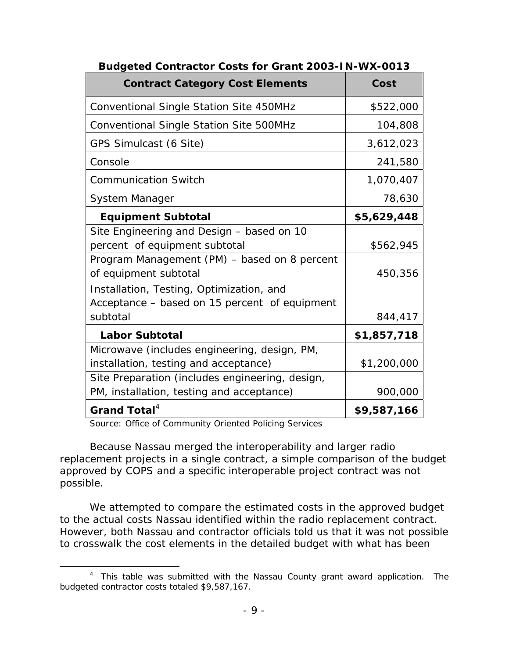| <b>Contract Category Cost Elements</b>          | Cost        |
|-------------------------------------------------|-------------|
| <b>Conventional Single Station Site 450MHz</b>  | \$522,000   |
| Conventional Single Station Site 500MHz         | 104,808     |
| GPS Simulcast (6 Site)                          | 3,612,023   |
| Console                                         | 241,580     |
| <b>Communication Switch</b>                     | 1,070,407   |
| System Manager                                  | 78,630      |
| <b>Equipment Subtotal</b>                       | \$5,629,448 |
| Site Engineering and Design - based on 10       |             |
| percent of equipment subtotal                   | \$562,945   |
| Program Management (PM) - based on 8 percent    |             |
| of equipment subtotal                           | 450,356     |
| Installation, Testing, Optimization, and        |             |
| Acceptance - based on 15 percent of equipment   |             |
| subtotal                                        | 844,417     |
| <b>Labor Subtotal</b>                           | \$1,857,718 |
| Microwave (includes engineering, design, PM,    |             |
| installation, testing and acceptance)           | \$1,200,000 |
| Site Preparation (includes engineering, design, |             |
| PM, installation, testing and acceptance)       | 900,000     |
| Grand Total <sup>4</sup>                        | \$9,587,166 |

**Budgeted Contractor Costs for Grant 2003-IN-WX-0013** 

Source: Office of Community Oriented Policing Services

Because Nassau merged the interoperability and larger radio replacement projects in a single contract, a simple comparison of the budget approved by COPS and a specific interoperable project contract was not possible.

We attempted to compare the estimated costs in the approved budget to the actual costs Nassau identified within the radio replacement contract. However, both Nassau and contractor officials told us that it was not possible to crosswalk the cost elements in the detailed budget with what has been

<sup>&</sup>lt;sup>4</sup> This table was submitted with the Nassau County grant award application. The budgeted contractor costs totaled \$9,587,167.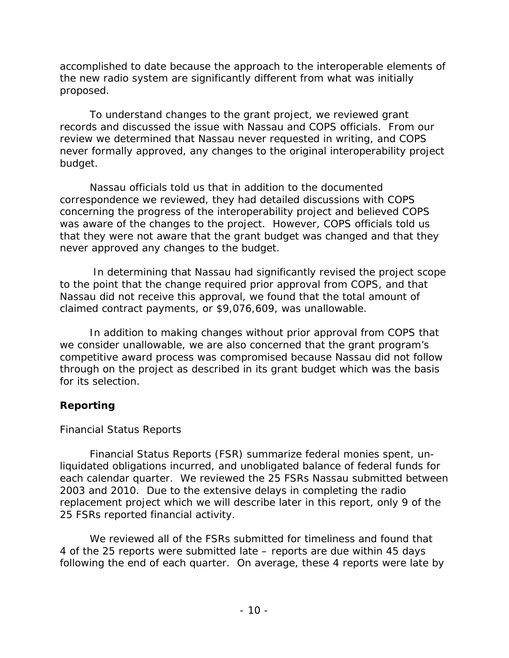accomplished to date because the approach to the interoperable elements of the new radio system are significantly different from what was initially proposed.

To understand changes to the grant project, we reviewed grant records and discussed the issue with Nassau and COPS officials. From our review we determined that Nassau never requested in writing, and COPS never formally approved, any changes to the original interoperability project budget.

Nassau officials told us that in addition to the documented correspondence we reviewed, they had detailed discussions with COPS concerning the progress of the interoperability project and believed COPS was aware of the changes to the project. However, COPS officials told us that they were not aware that the grant budget was changed and that they never approved any changes to the budget.

 In determining that Nassau had significantly revised the project scope to the point that the change required prior approval from COPS, and that Nassau did not receive this approval, we found that the total amount of claimed contract payments, or \$9,076,609, was unallowable.

In addition to making changes without prior approval from COPS that we consider unallowable, we are also concerned that the grant program's competitive award process was compromised because Nassau did not follow through on the project as described in its grant budget which was the basis for its selection.

# **Reporting**

# *Financial Status Reports*

Financial Status Reports (FSR) summarize federal monies spent, unliquidated obligations incurred, and unobligated balance of federal funds for each calendar quarter. We reviewed the 25 FSRs Nassau submitted between 2003 and 2010. Due to the extensive delays in completing the radio replacement project which we will describe later in this report, only 9 of the 25 FSRs reported financial activity.

We reviewed all of the FSRs submitted for timeliness and found that 4 of the 25 reports were submitted late – reports are due within 45 days following the end of each quarter. On average, these 4 reports were late by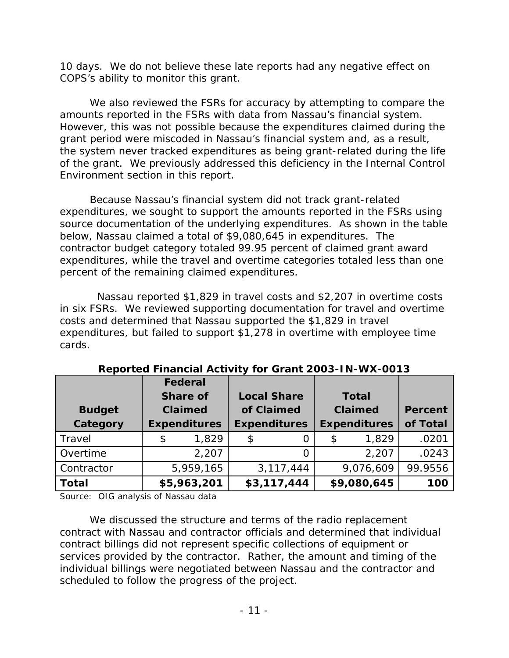10 days. We do not believe these late reports had any negative effect on COPS's ability to monitor this grant.

We also reviewed the FSRs for accuracy by attempting to compare the amounts reported in the FSRs with data from Nassau's financial system. However, this was not possible because the expenditures claimed during the grant period were miscoded in Nassau's financial system and, as a result, the system never tracked expenditures as being grant-related during the life of the grant. We previously addressed this deficiency in the Internal Control Environment section in this report.

Because Nassau's financial system did not track grant-related expenditures, we sought to support the amounts reported in the FSRs using source documentation of the underlying expenditures. As shown in the table below, Nassau claimed a total of \$9,080,645 in expenditures. The contractor budget category totaled 99.95 percent of claimed grant award expenditures, while the travel and overtime categories totaled less than one percent of the remaining claimed expenditures.

Nassau reported \$1,829 in travel costs and \$2,207 in overtime costs in six FSRs. We reviewed supporting documentation for travel and overtime costs and determined that Nassau supported the \$1,829 in travel expenditures, but failed to support \$1,278 in overtime with employee time cards.

|               | Federal         |                     |                    |                     |              |                     |                |
|---------------|-----------------|---------------------|--------------------|---------------------|--------------|---------------------|----------------|
|               | <b>Share of</b> |                     | <b>Local Share</b> |                     | <b>Total</b> |                     |                |
| <b>Budget</b> | <b>Claimed</b>  |                     |                    | of Claimed          | Claimed      |                     | <b>Percent</b> |
| Category      |                 | <b>Expenditures</b> |                    | <b>Expenditures</b> |              | <b>Expenditures</b> | of Total       |
| Travel        | \$              | 1,829               | \$                 |                     | \$           | 1,829               | .0201          |
| Overtime      |                 | 2,207               |                    |                     |              | 2,207               | .0243          |
| Contractor    |                 | 5,959,165           |                    | 3, 117, 444         |              | 9,076,609           | 99.9556        |
| <b>Total</b>  |                 | \$5,963,201         |                    | \$3,117,444         |              | \$9,080,645         | 100            |

**Reported Financial Activity for Grant 2003-IN-WX-0013** 

Source: OIG analysis of Nassau data

We discussed the structure and terms of the radio replacement contract with Nassau and contractor officials and determined that individual contract billings did not represent specific collections of equipment or services provided by the contractor. Rather, the amount and timing of the individual billings were negotiated between Nassau and the contractor and scheduled to follow the progress of the project.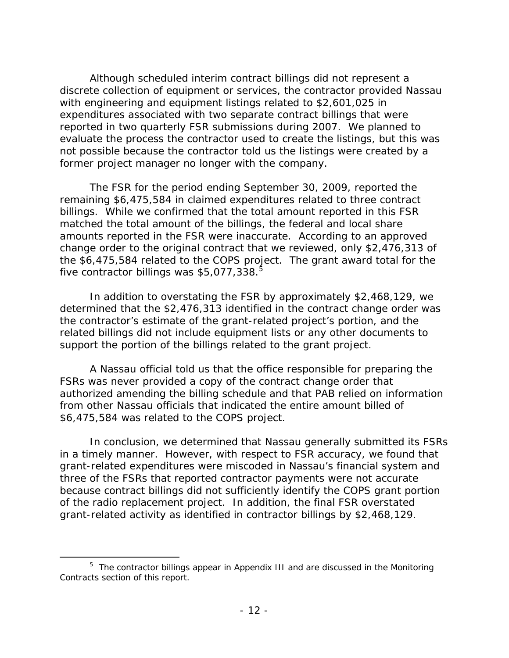Although scheduled interim contract billings did not represent a discrete collection of equipment or services, the contractor provided Nassau with engineering and equipment listings related to \$2,601,025 in expenditures associated with two separate contract billings that were reported in two quarterly FSR submissions during 2007. We planned to evaluate the process the contractor used to create the listings, but this was not possible because the contractor told us the listings were created by a former project manager no longer with the company.

The FSR for the period ending September 30, 2009, reported the remaining \$6,475,584 in claimed expenditures related to three contract billings. While we confirmed that the total amount reported in this FSR matched the total amount of the billings, the federal and local share amounts reported in the FSR were inaccurate. According to an approved change order to the original contract that we reviewed, only \$2,476,313 of the \$6,475,584 related to the COPS project. The grant award total for the five contractor billings was  $$5,077,338$ .<sup>5</sup>

In addition to overstating the FSR by approximately \$2,468,129, we determined that the \$2,476,313 identified in the contract change order was the contractor's estimate of the grant-related project's portion, and the related billings did not include equipment lists or any other documents to support the portion of the billings related to the grant project.

A Nassau official told us that the office responsible for preparing the FSRs was never provided a copy of the contract change order that authorized amending the billing schedule and that PAB relied on information from other Nassau officials that indicated the entire amount billed of \$6,475,584 was related to the COPS project.

In conclusion, we determined that Nassau generally submitted its FSRs in a timely manner. However, with respect to FSR accuracy, we found that grant-related expenditures were miscoded in Nassau's financial system and three of the FSRs that reported contractor payments were not accurate because contract billings did not sufficiently identify the COPS grant portion of the radio replacement project. In addition, the final FSR overstated grant-related activity as identified in contractor billings by \$2,468,129.

<sup>&</sup>lt;sup>5</sup> The contractor billings appear in Appendix III and are discussed in the Monitoring Contracts section of this report.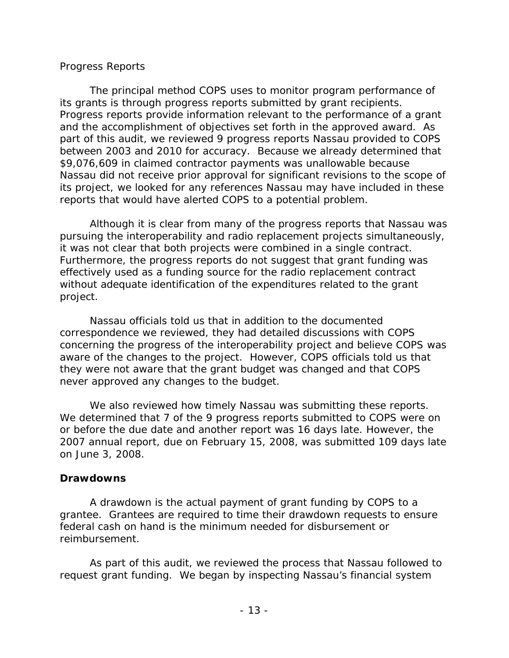## *Progress Reports*

The principal method COPS uses to monitor program performance of its grants is through progress reports submitted by grant recipients. Progress reports provide information relevant to the performance of a grant and the accomplishment of objectives set forth in the approved award. As part of this audit, we reviewed 9 progress reports Nassau provided to COPS between 2003 and 2010 for accuracy. Because we already determined that \$9,076,609 in claimed contractor payments was unallowable because Nassau did not receive prior approval for significant revisions to the scope of its project, we looked for any references Nassau may have included in these reports that would have alerted COPS to a potential problem.

Although it is clear from many of the progress reports that Nassau was pursuing the interoperability and radio replacement projects simultaneously, it was not clear that both projects were combined in a single contract. Furthermore, the progress reports do not suggest that grant funding was effectively used as a funding source for the radio replacement contract without adequate identification of the expenditures related to the grant project.

Nassau officials told us that in addition to the documented correspondence we reviewed, they had detailed discussions with COPS concerning the progress of the interoperability project and believe COPS was aware of the changes to the project. However, COPS officials told us that they were not aware that the grant budget was changed and that COPS never approved any changes to the budget.

We also reviewed how timely Nassau was submitting these reports. We determined that 7 of the 9 progress reports submitted to COPS were on or before the due date and another report was 16 days late. However, the 2007 annual report, due on February 15, 2008, was submitted 109 days late on June 3, 2008.

#### **Drawdowns**

A drawdown is the actual payment of grant funding by COPS to a grantee. Grantees are required to time their drawdown requests to ensure federal cash on hand is the minimum needed for disbursement or reimbursement.

As part of this audit, we reviewed the process that Nassau followed to request grant funding. We began by inspecting Nassau's financial system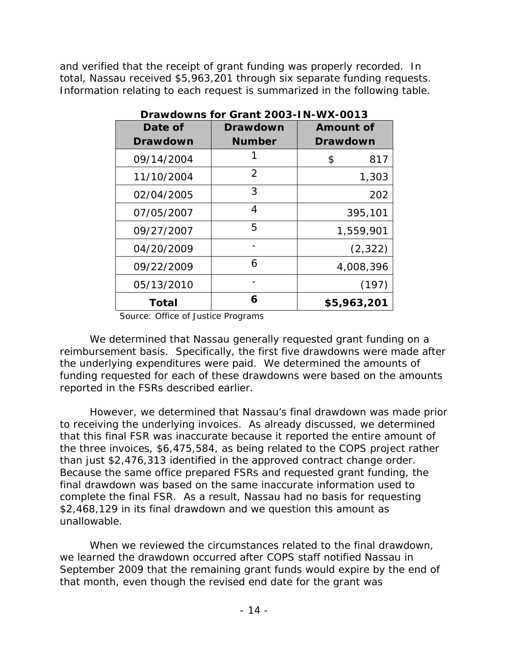and verified that the receipt of grant funding was properly recorded. In total, Nassau received \$5,963,201 through six separate funding requests. Information relating to each request is summarized in the following table.

| Date of         | <b>Drawdown</b> | <b>Amount of</b> |
|-----------------|-----------------|------------------|
| <b>Drawdown</b> | <b>Number</b>   | <b>Drawdown</b>  |
| 09/14/2004      |                 | 817<br>\$        |
| 11/10/2004      | $\overline{2}$  | 1,303            |
| 02/04/2005      | 3               | 202              |
| 07/05/2007      | 4               | 395,101          |
| 09/27/2007      | 5               | 1,559,901        |
| 04/20/2009      |                 | (2, 322)         |
| 09/22/2009      | 6               | 4,008,396        |
| 05/13/2010      |                 | (197)            |
| Total           | 6               | \$5,963,201      |

**Drawdowns for Grant 2003-IN-WX-0013** 

Source: Office of Justice Programs

We determined that Nassau generally requested grant funding on a reimbursement basis. Specifically, the first five drawdowns were made after the underlying expenditures were paid. We determined the amounts of funding requested for each of these drawdowns were based on the amounts reported in the FSRs described earlier.

However, we determined that Nassau's final drawdown was made prior to receiving the underlying invoices. As already discussed, we determined that this final FSR was inaccurate because it reported the entire amount of the three invoices, \$6,475,584, as being related to the COPS project rather than just \$2,476,313 identified in the approved contract change order. Because the same office prepared FSRs and requested grant funding, the final drawdown was based on the same inaccurate information used to complete the final FSR. As a result, Nassau had no basis for requesting \$2,468,129 in its final drawdown and we question this amount as unallowable.

When we reviewed the circumstances related to the final drawdown, we learned the drawdown occurred after COPS staff notified Nassau in September 2009 that the remaining grant funds would expire by the end of that month, even though the revised end date for the grant was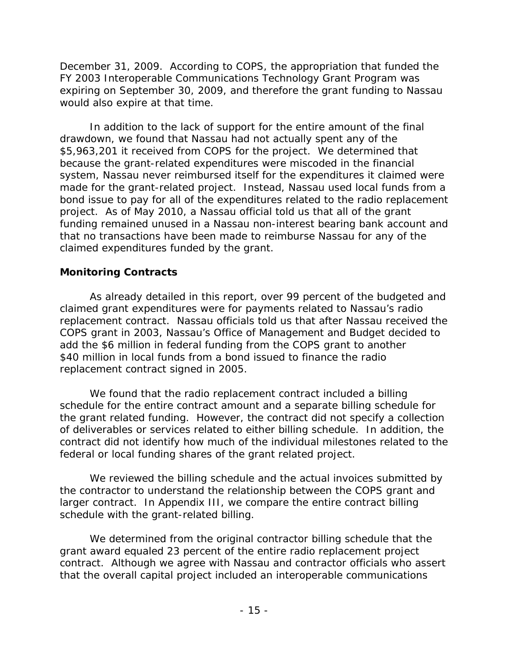December 31, 2009. According to COPS, the appropriation that funded the FY 2003 Interoperable Communications Technology Grant Program was expiring on September 30, 2009, and therefore the grant funding to Nassau would also expire at that time.

 claimed expenditures funded by the grant. In addition to the lack of support for the entire amount of the final drawdown, we found that Nassau had not actually spent any of the \$5,963,201 it received from COPS for the project. We determined that because the grant-related expenditures were miscoded in the financial system, Nassau never reimbursed itself for the expenditures it claimed were made for the grant-related project. Instead, Nassau used local funds from a bond issue to pay for all of the expenditures related to the radio replacement project. As of May 2010, a Nassau official told us that all of the grant funding remained unused in a Nassau non-interest bearing bank account and that no transactions have been made to reimburse Nassau for any of the

# **Monitoring Contracts**

As already detailed in this report, over 99 percent of the budgeted and claimed grant expenditures were for payments related to Nassau's radio replacement contract. Nassau officials told us that after Nassau received the COPS grant in 2003, Nassau's Office of Management and Budget decided to add the \$6 million in federal funding from the COPS grant to another \$40 million in local funds from a bond issued to finance the radio replacement contract signed in 2005.

We found that the radio replacement contract included a billing schedule for the entire contract amount and a separate billing schedule for the grant related funding. However, the contract did not specify a collection of deliverables or services related to either billing schedule. In addition, the contract did not identify how much of the individual milestones related to the federal or local funding shares of the grant related project.

We reviewed the billing schedule and the actual invoices submitted by the contractor to understand the relationship between the COPS grant and larger contract. In Appendix III, we compare the entire contract billing schedule with the grant-related billing.

We determined from the original contractor billing schedule that the grant award equaled 23 percent of the entire radio replacement project contract. Although we agree with Nassau and contractor officials who assert that the overall capital project included an interoperable communications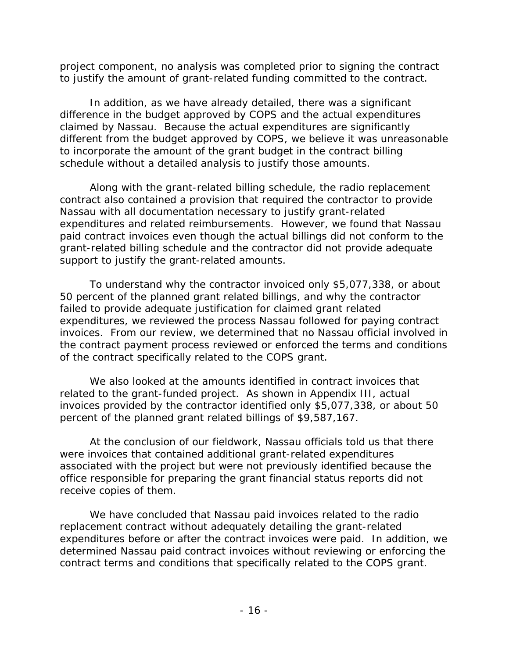project component, no analysis was completed prior to signing the contract to justify the amount of grant-related funding committed to the contract.

In addition, as we have already detailed, there was a significant difference in the budget approved by COPS and the actual expenditures claimed by Nassau. Because the actual expenditures are significantly different from the budget approved by COPS, we believe it was unreasonable to incorporate the amount of the grant budget in the contract billing schedule without a detailed analysis to justify those amounts.

Along with the grant-related billing schedule, the radio replacement contract also contained a provision that required the contractor to provide Nassau with all documentation necessary to justify grant-related expenditures and related reimbursements. However, we found that Nassau paid contract invoices even though the actual billings did not conform to the grant-related billing schedule and the contractor did not provide adequate support to justify the grant-related amounts.

To understand why the contractor invoiced only \$5,077,338, or about 50 percent of the planned grant related billings, and why the contractor failed to provide adequate justification for claimed grant related expenditures, we reviewed the process Nassau followed for paying contract invoices. From our review, we determined that no Nassau official involved in the contract payment process reviewed or enforced the terms and conditions of the contract specifically related to the COPS grant.

We also looked at the amounts identified in contract invoices that related to the grant-funded project. As shown in Appendix III, actual invoices provided by the contractor identified only \$5,077,338, or about 50 percent of the planned grant related billings of \$9,587,167.

At the conclusion of our fieldwork, Nassau officials told us that there were invoices that contained additional grant-related expenditures associated with the project but were not previously identified because the office responsible for preparing the grant financial status reports did not receive copies of them.

We have concluded that Nassau paid invoices related to the radio replacement contract without adequately detailing the grant-related expenditures before or after the contract invoices were paid. In addition, we determined Nassau paid contract invoices without reviewing or enforcing the contract terms and conditions that specifically related to the COPS grant.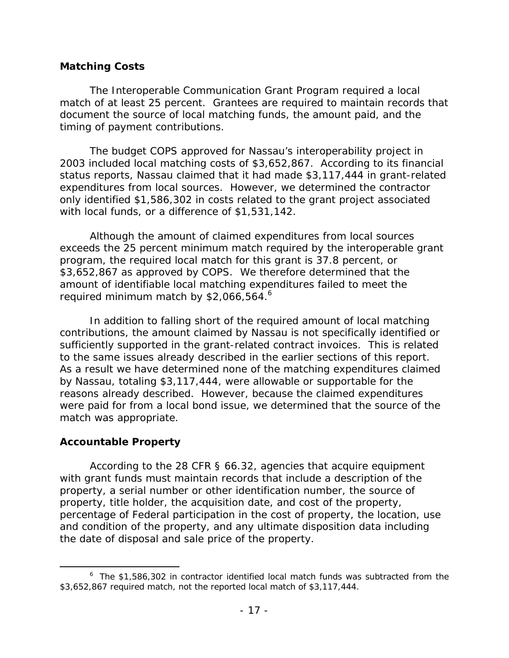## **Matching Costs**

The Interoperable Communication Grant Program required a local match of at least 25 percent. Grantees are required to maintain records that document the source of local matching funds, the amount paid, and the timing of payment contributions.

The budget COPS approved for Nassau's interoperability project in 2003 included local matching costs of \$3,652,867. According to its financial status reports, Nassau claimed that it had made \$3,117,444 in grant-related expenditures from local sources. However, we determined the contractor only identified \$1,586,302 in costs related to the grant project associated with local funds, or a difference of \$1,531,142.

required minimum match by \$2,066,564. $^6$ Although the amount of claimed expenditures from local sources exceeds the 25 percent minimum match required by the interoperable grant program, the required local match for this grant is 37.8 percent, or \$3,652,867 as approved by COPS. We therefore determined that the amount of identifiable local matching expenditures failed to meet the

In addition to falling short of the required amount of local matching contributions, the amount claimed by Nassau is not specifically identified or sufficiently supported in the grant-related contract invoices. This is related to the same issues already described in the earlier sections of this report. As a result we have determined none of the matching expenditures claimed by Nassau, totaling \$3,117,444, were allowable or supportable for the reasons already described. However, because the claimed expenditures were paid for from a local bond issue, we determined that the source of the match was appropriate.

# **Accountable Property**

According to the 28 CFR § 66.32, agencies that acquire equipment with grant funds must maintain records that include a description of the property, a serial number or other identification number, the source of property, title holder, the acquisition date, and cost of the property, percentage of Federal participation in the cost of property, the location, use and condition of the property, and any ultimate disposition data including the date of disposal and sale price of the property.

 $$3,652,867$  required match, not the reported local match of  $$3,117,444$ .<br>-  $17$  - $6$  The \$1,586,302 in contractor identified local match funds was subtracted from the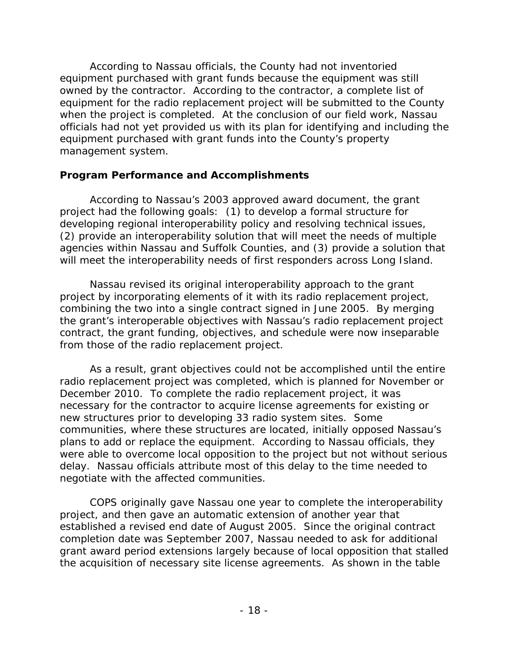According to Nassau officials, the County had not inventoried equipment purchased with grant funds because the equipment was still owned by the contractor. According to the contractor, a complete list of equipment for the radio replacement project will be submitted to the County when the project is completed. At the conclusion of our field work, Nassau officials had not yet provided us with its plan for identifying and including the equipment purchased with grant funds into the County's property management system.

# **Program Performance and Accomplishments**

According to Nassau's 2003 approved award document, the grant project had the following goals: (1) to develop a formal structure for developing regional interoperability policy and resolving technical issues, (2) provide an interoperability solution that will meet the needs of multiple agencies within Nassau and Suffolk Counties, and (3) provide a solution that will meet the interoperability needs of first responders across Long Island.

Nassau revised its original interoperability approach to the grant project by incorporating elements of it with its radio replacement project, combining the two into a single contract signed in June 2005. By merging the grant's interoperable objectives with Nassau's radio replacement project contract, the grant funding, objectives, and schedule were now inseparable from those of the radio replacement project.

As a result, grant objectives could not be accomplished until the entire radio replacement project was completed, which is planned for November or December 2010. To complete the radio replacement project, it was necessary for the contractor to acquire license agreements for existing or new structures prior to developing 33 radio system sites. Some communities, where these structures are located, initially opposed Nassau's plans to add or replace the equipment. According to Nassau officials, they were able to overcome local opposition to the project but not without serious delay. Nassau officials attribute most of this delay to the time needed to negotiate with the affected communities.

COPS originally gave Nassau one year to complete the interoperability project, and then gave an automatic extension of another year that established a revised end date of August 2005. Since the original contract completion date was September 2007, Nassau needed to ask for additional grant award period extensions largely because of local opposition that stalled the acquisition of necessary site license agreements. As shown in the table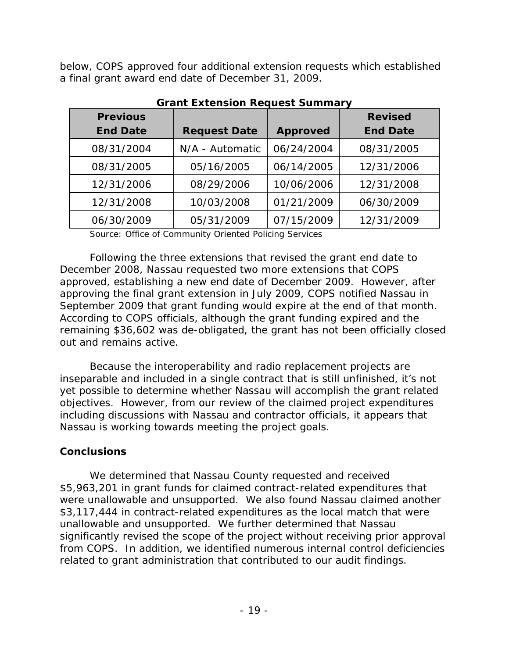below, COPS approved four additional extension requests which established a final grant award end date of December 31, 2009.

| <b>Previous</b> |                     |                 | <b>Revised</b>  |
|-----------------|---------------------|-----------------|-----------------|
| <b>End Date</b> | <b>Request Date</b> | <b>Approved</b> | <b>End Date</b> |
| 08/31/2004      | N/A - Automatic     | 06/24/2004      | 08/31/2005      |
| 08/31/2005      | 05/16/2005          | 06/14/2005      | 12/31/2006      |
| 12/31/2006      | 08/29/2006          | 10/06/2006      | 12/31/2008      |
| 12/31/2008      | 10/03/2008          | 01/21/2009      | 06/30/2009      |
| 06/30/2009      | 05/31/2009          | 07/15/2009      | 12/31/2009      |

**Grant Extension Request Summary** 

Source: Office of Community Oriented Policing Services

Following the three extensions that revised the grant end date to December 2008, Nassau requested two more extensions that COPS approved, establishing a new end date of December 2009. However, after approving the final grant extension in July 2009, COPS notified Nassau in September 2009 that grant funding would expire at the end of that month. According to COPS officials, although the grant funding expired and the remaining \$36,602 was de-obligated, the grant has not been officially closed out and remains active.

Because the interoperability and radio replacement projects are inseparable and included in a single contract that is still unfinished, it's not yet possible to determine whether Nassau will accomplish the grant related objectives. However, from our review of the claimed project expenditures including discussions with Nassau and contractor officials, it appears that Nassau is working towards meeting the project goals.

# **Conclusions**

We determined that Nassau County requested and received \$5,963,201 in grant funds for claimed contract-related expenditures that were unallowable and unsupported. We also found Nassau claimed another \$3,117,444 in contract-related expenditures as the local match that were unallowable and unsupported. We further determined that Nassau significantly revised the scope of the project without receiving prior approval from COPS. In addition, we identified numerous internal control deficiencies related to grant administration that contributed to our audit findings.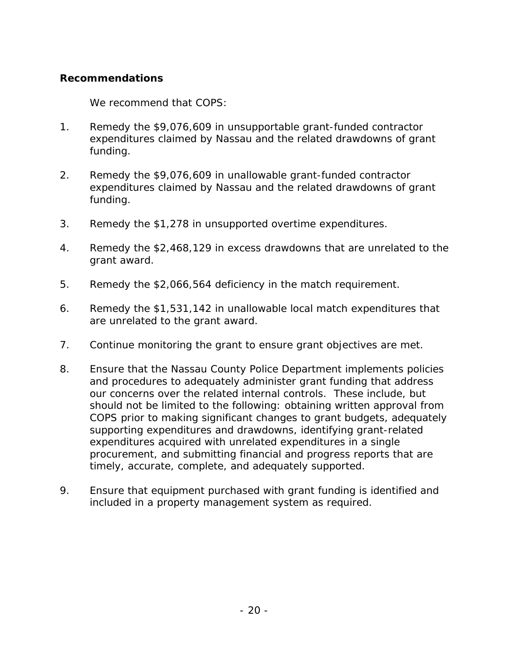# **Recommendations**

We recommend that COPS:

- 1. Remedy the \$9,076,609 in unsupportable grant-funded contractor expenditures claimed by Nassau and the related drawdowns of grant funding.
- 2. Remedy the \$9,076,609 in unallowable grant-funded contractor expenditures claimed by Nassau and the related drawdowns of grant funding.
- 3. Remedy the \$1,278 in unsupported overtime expenditures.
- 4. Remedy the \$2,468,129 in excess drawdowns that are unrelated to the grant award.
- 5. Remedy the \$2,066,564 deficiency in the match requirement.
- 6. Remedy the \$1,531,142 in unallowable local match expenditures that are unrelated to the grant award.
- 7. Continue monitoring the grant to ensure grant objectives are met.
- 8. Ensure that the Nassau County Police Department implements policies and procedures to adequately administer grant funding that address our concerns over the related internal controls. These include, but should not be limited to the following: obtaining written approval from COPS prior to making significant changes to grant budgets, adequately supporting expenditures and drawdowns, identifying grant-related expenditures acquired with unrelated expenditures in a single procurement, and submitting financial and progress reports that are timely, accurate, complete, and adequately supported.
- 9. Ensure that equipment purchased with grant funding is identified and included in a property management system as required.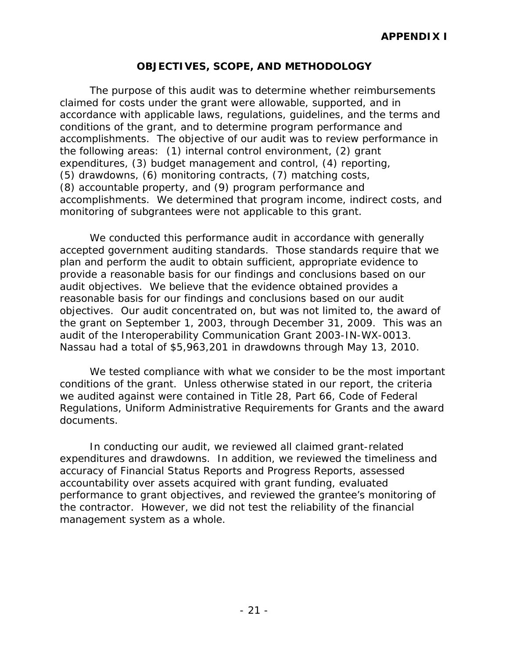## **OBJECTIVES, SCOPE, AND METHODOLOGY**

The purpose of this audit was to determine whether reimbursements claimed for costs under the grant were allowable, supported, and in accordance with applicable laws, regulations, guidelines, and the terms and conditions of the grant, and to determine program performance and accomplishments. The objective of our audit was to review performance in the following areas: (1) internal control environment, (2) grant expenditures, (3) budget management and control, (4) reporting, (5) drawdowns, (6) monitoring contracts, (7) matching costs, (8) accountable property, and (9) program performance and accomplishments. We determined that program income, indirect costs, and monitoring of subgrantees were not applicable to this grant.

We conducted this performance audit in accordance with generally accepted government auditing standards. Those standards require that we plan and perform the audit to obtain sufficient, appropriate evidence to provide a reasonable basis for our findings and conclusions based on our audit objectives. We believe that the evidence obtained provides a reasonable basis for our findings and conclusions based on our audit objectives. Our audit concentrated on, but was not limited to, the award of the grant on September 1, 2003, through December 31, 2009. This was an audit of the Interoperability Communication Grant 2003-IN-WX-0013. Nassau had a total of \$5,963,201 in drawdowns through May 13, 2010.

We tested compliance with what we consider to be the most important conditions of the grant. Unless otherwise stated in our report, the criteria we audited against were contained in Title 28, Part 66, Code of Federal Regulations, Uniform Administrative Requirements for Grants and the award documents.

In conducting our audit, we reviewed all claimed grant-related expenditures and drawdowns. In addition, we reviewed the timeliness and accuracy of Financial Status Reports and Progress Reports, assessed accountability over assets acquired with grant funding, evaluated performance to grant objectives, and reviewed the grantee's monitoring of the contractor. However, we did not test the reliability of the financial management system as a whole.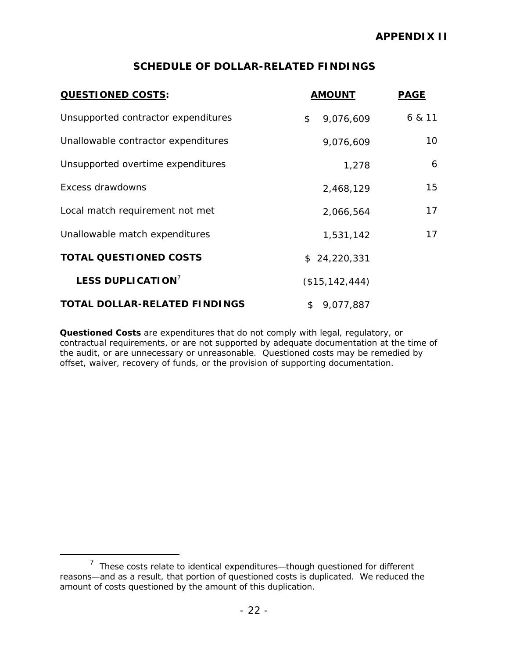## **SCHEDULE OF DOLLAR-RELATED FINDINGS**

| <b>QUESTIONED COSTS:</b>             | <b>AMOUNT</b>    | <b>PAGE</b> |
|--------------------------------------|------------------|-------------|
| Unsupported contractor expenditures  | 9,076,609<br>\$  | 6 & 11      |
| Unallowable contractor expenditures  | 9,076,609        | 10          |
| Unsupported overtime expenditures    | 1,278            | 6           |
| Excess drawdowns                     | 2,468,129        | 15          |
| Local match requirement not met      | 2,066,564        | 17          |
| Unallowable match expenditures       | 1,531,142        | 17          |
| <b>TOTAL QUESTIONED COSTS</b>        | \$24,220,331     |             |
| <b>LESS DUPLICATION</b>              | (\$15, 142, 444) |             |
| <b>TOTAL DOLLAR-RELATED FINDINGS</b> | 9,077,887<br>\$  |             |

*Questioned Costs* are expenditures that do not comply with legal, regulatory, or contractual requirements, or are not supported by adequate documentation at the time of the audit, or are unnecessary or unreasonable. Questioned costs may be remedied by offset, waiver, recovery of funds, or the provision of supporting documentation.

 $<sup>7</sup>$  These costs relate to identical expenditures—though questioned for different</sup> reasons—and as a result, that portion of questioned costs is duplicated. We reduced the amount of costs questioned by the amount of this duplication.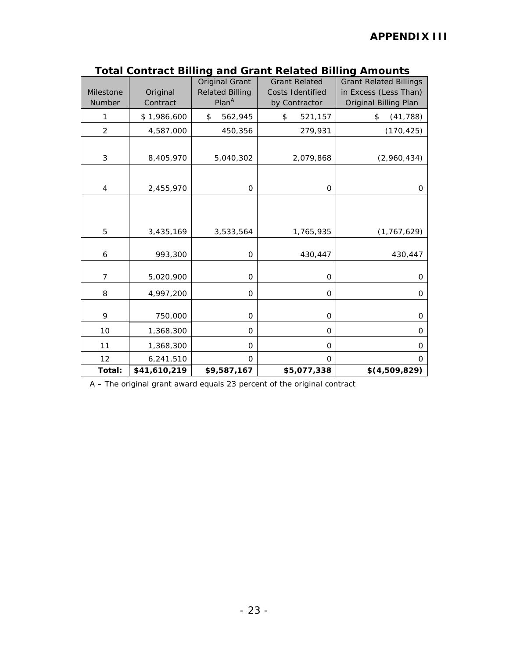| Milestone<br>Number | Original<br>Contract | <b>Original Grant</b><br><b>Related Billing</b><br>Plan <sup>A</sup> | <b>Grant Related</b><br>Costs Identified<br>by Contractor | <b>Grant Related Billings</b><br>in Excess (Less Than)<br>Original Billing Plan |
|---------------------|----------------------|----------------------------------------------------------------------|-----------------------------------------------------------|---------------------------------------------------------------------------------|
| 1                   | \$1,986,600          | \$<br>562,945                                                        | \$<br>521,157                                             | \$<br>(41, 788)                                                                 |
| $\overline{c}$      | 4,587,000            | 450,356                                                              | 279,931                                                   | (170, 425)                                                                      |
| 3                   | 8,405,970            | 5,040,302                                                            | 2,079,868                                                 | (2,960,434)                                                                     |
| 4                   | 2,455,970            | $\mathbf 0$                                                          | $\mathbf 0$                                               | 0                                                                               |
|                     |                      |                                                                      |                                                           |                                                                                 |
| 5                   | 3,435,169            | 3,533,564                                                            | 1,765,935                                                 | (1, 767, 629)                                                                   |
| 6                   | 993,300              | 0                                                                    | 430,447                                                   | 430,447                                                                         |
| $\overline{7}$      | 5,020,900            | $\mathbf 0$                                                          | 0                                                         | 0                                                                               |
| 8                   | 4,997,200            | O                                                                    | 0                                                         | 0                                                                               |
| 9                   | 750,000              | $\mathbf 0$                                                          | 0                                                         | 0                                                                               |
| 10                  | 1,368,300            | $\mathbf 0$                                                          | $\Omega$                                                  | 0                                                                               |
| 11                  | 1,368,300            | $\circ$                                                              | 0                                                         | 0                                                                               |
| 12                  | 6,241,510            | 0                                                                    | O                                                         | 0                                                                               |
| Total:              | \$41,610,219         | \$9,587,167                                                          | \$5,077,338                                               | \$(4,509,829)                                                                   |

**Total Contract Billing and Grant Related Billing Amounts** 

A – The original grant award equals 23 percent of the original contract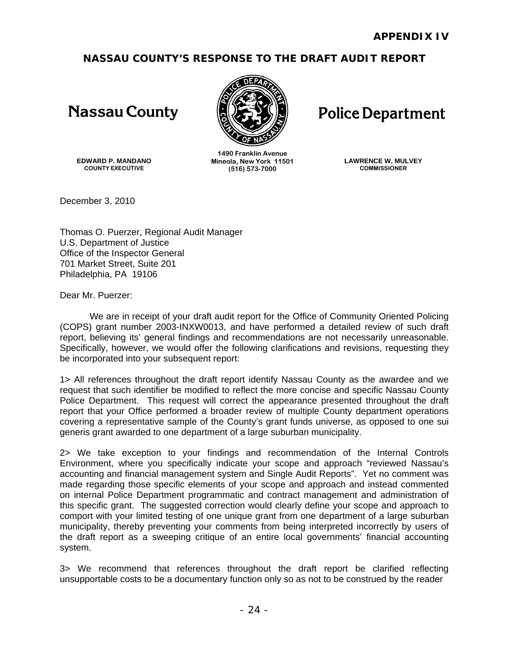# **NASSAU COUNTY'S RESPONSE TO THE DRAFT AUDIT REPORT**

# **Nassau County**



# **Police Department**

**EDWARD P. MANDANO COUNTY EXECUTIVE** 

**1490 Franklin Avenue Mineola, New York 11501 (516) 573-7000** 

**LAWRENCE W. MULVEY COMMISSIONER** 

December 3, 2010

Thomas O. Puerzer, Regional Audit Manager U.S. Department of Justice Office of the Inspector General 701 Market Street, Suite 201 Philadelphia, PA 19106

Dear Mr. Puerzer:

report, believing its' general findings and recommendations are not necessarily unreasonable. We are in receipt of your draft audit report for the Office of Community Oriented Policing (COPS) grant number 2003-INXW0013, and have performed a detailed review of such draft Specifically, however, we would offer the following clarifications and revisions, requesting they be incorporated into your subsequent report:

1> All references throughout the draft report identify Nassau County as the awardee and we request that such identifier be modified to reflect the more concise and specific Nassau County Police Department. This request will correct the appearance presented throughout the draft report that your Office performed a broader review of multiple County department operations covering a representative sample of the County's grant funds universe, as opposed to one sui generis grant awarded to one department of a large suburban municipality.

2> We take exception to your findings and recommendation of the Internal Controls Environment, where you specifically indicate your scope and approach "reviewed Nassau's accounting and financial management system and Single Audit Reports". Yet no comment was made regarding those specific elements of your scope and approach and instead commented on internal Police Department programmatic and contract management and administration of this specific grant. The suggested correction would clearly define your scope and approach to comport with your limited testing of one unique grant from one department of a large suburban municipality, thereby preventing your comments from being interpreted incorrectly by users of the draft report as a sweeping critique of an entire local governments' financial accounting system.

3> We recommend that references throughout the draft report be clarified reflecting unsupportable costs to be a documentary function only so as not to be construed by the reader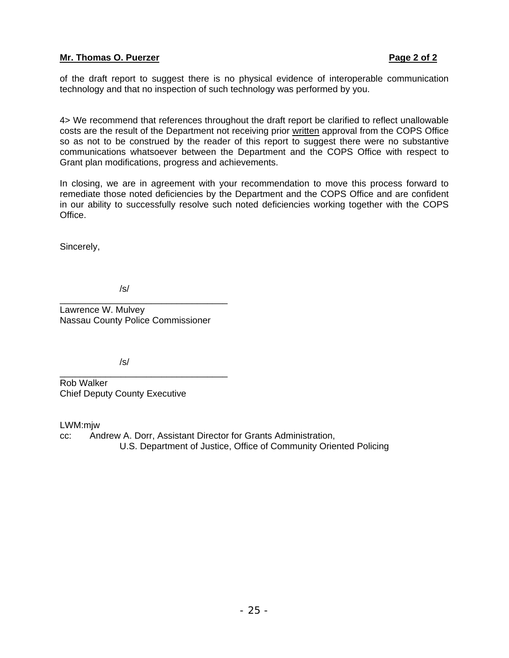#### **Mr. Thomas O. Puerzer Page 2 of 2 2 and 2 and 2 and 2 and 2 and 2 and 2 and 2 and 2 and 2 and 2 and 2 and 2 and 2 and 2 and 2 and 2 and 2 and 2 and 2 and 2 and 2 and 2 and 2 and 2 and 2 and 2 and 2 and 2 and 2 and 2 and 2**

of the draft report to suggest there is no physical evidence of interoperable communication technology and that no inspection of such technology was performed by you.

4> We recommend that references throughout the draft report be clarified to reflect unallowable costs are the result of the Department not receiving prior written approval from the COPS Office so as not to be construed by the reader of this report to suggest there were no substantive communications whatsoever between the Department and the COPS Office with respect to Grant plan modifications, progress and achievements.

In closing, we are in agreement with your recommendation to move this process forward to remediate those noted deficiencies by the Department and the COPS Office and are confident in our ability to successfully resolve such noted deficiencies working together with the COPS Office.

Sincerely,

/s/

Lawrence W. Mulvey Nassau County Police Commissioner

\_\_\_\_\_\_\_\_\_\_\_\_\_\_\_\_\_\_\_\_\_\_\_\_\_\_\_\_\_\_\_\_\_

/s/

\_\_\_\_\_\_\_\_\_\_\_\_\_\_\_\_\_\_\_\_\_\_\_\_\_\_\_\_\_\_\_\_\_ Rob Walker Chief Deputy County Executive

LWM:mjw

cc: Andrew A. Dorr, Assistant Director for Grants Administration, U.S. Department of Justice, Office of Community Oriented Policing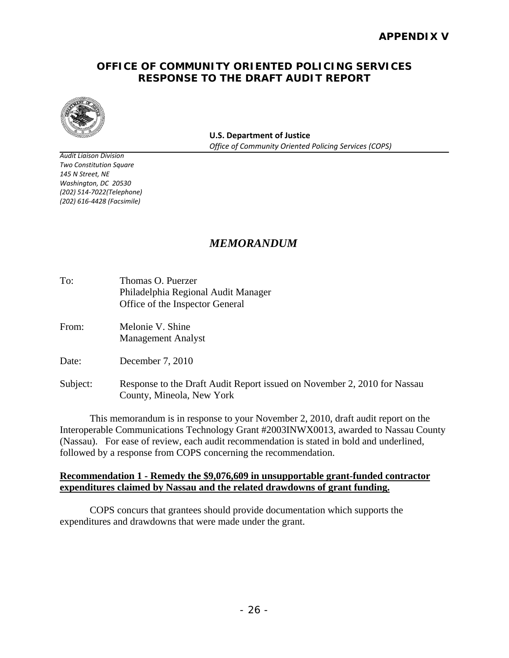### **OFFICE OF COMMUNITY ORIENTED POLICING SERVICES RESPONSE TO THE DRAFT AUDIT REPORT**



 **U.S. Department of Justice**  *Office of Community Oriented Policing Services (COPS)*

 *Audit Liaison Division Two Constitution Square 145 N Street, NE Washington, DC 20530 (202) 616‐4428 (Facsimile) (202) 514‐7022(Telephone)*

# *MEMORANDUM*

| To: | Thomas O. Puerzer                   |
|-----|-------------------------------------|
|     | Philadelphia Regional Audit Manager |
|     | Office of the Inspector General     |

From: Melonie V. Shine Management Analyst

Date: December 7, 2010

Subject: Response to the Draft Audit Report issued on November 2, 2010 for Nassau County, Mineola, New York

This memorandum is in response to your November 2, 2010, draft audit report on the Interoperable Communications Technology Grant #2003INWX0013, awarded to Nassau County (Nassau). For ease of review, each audit recommendation is stated in bold and underlined, followed by a response from COPS concerning the recommendation.

#### **Recommendation 1 - Remedy the \$9,076,609 in unsupportable grant-funded contractor expenditures claimed by Nassau and the related drawdowns of grant funding.**

COPS concurs that grantees should provide documentation which supports the expenditures and drawdowns that were made under the grant.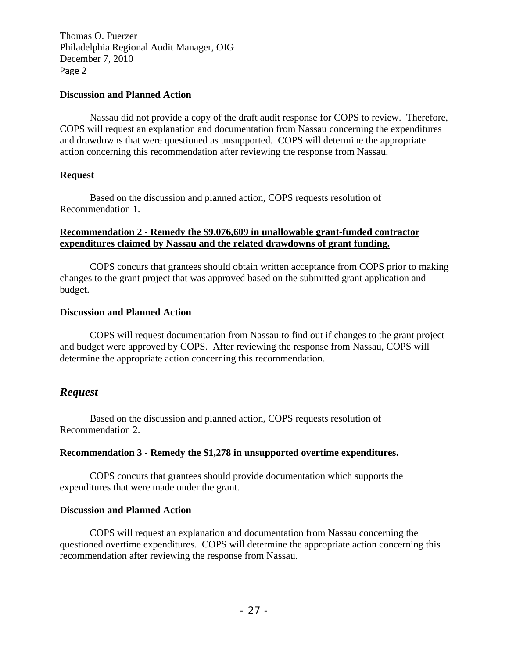Page 2 Thomas O. Puerzer Philadelphia Regional Audit Manager, OIG December 7, 2010

#### **Discussion and Planned Action**

Nassau did not provide a copy of the draft audit response for COPS to review. Therefore, COPS will request an explanation and documentation from Nassau concerning the expenditures and drawdowns that were questioned as unsupported. COPS will determine the appropriate action concerning this recommendation after reviewing the response from Nassau.

#### **Request**

Based on the discussion and planned action, COPS requests resolution of Recommendation 1.

#### **Recommendation 2 - Remedy the \$9,076,609 in unallowable grant-funded contractor expenditures claimed by Nassau and the related drawdowns of grant funding.**

COPS concurs that grantees should obtain written acceptance from COPS prior to making changes to the grant project that was approved based on the submitted grant application and budget.

#### **Discussion and Planned Action**

COPS will request documentation from Nassau to find out if changes to the grant project and budget were approved by COPS. After reviewing the response from Nassau, COPS will determine the appropriate action concerning this recommendation.

# *Request*

Based on the discussion and planned action, COPS requests resolution of Recommendation 2.

#### **Recommendation 3 - Remedy the \$1,278 in unsupported overtime expenditures.**

COPS concurs that grantees should provide documentation which supports the expenditures that were made under the grant.

#### **Discussion and Planned Action**

COPS will request an explanation and documentation from Nassau concerning the questioned overtime expenditures. COPS will determine the appropriate action concerning this recommendation after reviewing the response from Nassau.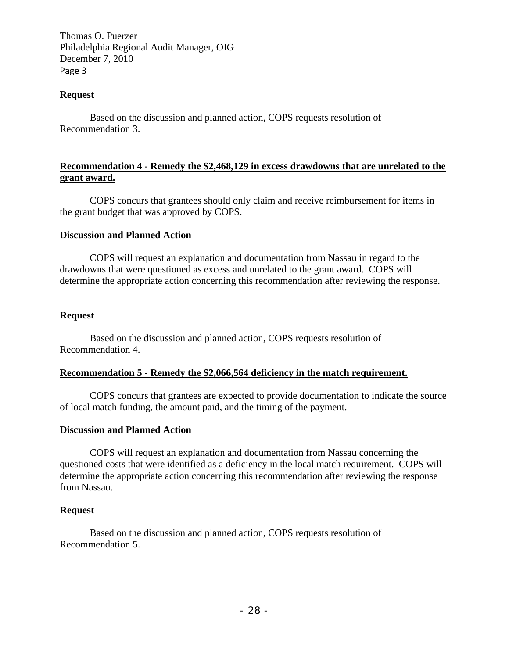Page 3 Thomas O. Puerzer Philadelphia Regional Audit Manager, OIG December 7, 2010

#### **Request**

Based on the discussion and planned action, COPS requests resolution of Recommendation 3.

#### **Recommendation 4 - Remedy the \$2,468,129 in excess drawdowns that are unrelated to the grant award.**

COPS concurs that grantees should only claim and receive reimbursement for items in the grant budget that was approved by COPS.

#### **Discussion and Planned Action**

COPS will request an explanation and documentation from Nassau in regard to the drawdowns that were questioned as excess and unrelated to the grant award. COPS will determine the appropriate action concerning this recommendation after reviewing the response.

#### **Request**

Based on the discussion and planned action, COPS requests resolution of Recommendation 4.

#### **Recommendation 5 - Remedy the \$2,066,564 deficiency in the match requirement.**

COPS concurs that grantees are expected to provide documentation to indicate the source of local match funding, the amount paid, and the timing of the payment.

#### **Discussion and Planned Action**

COPS will request an explanation and documentation from Nassau concerning the questioned costs that were identified as a deficiency in the local match requirement. COPS will determine the appropriate action concerning this recommendation after reviewing the response from Nassau.

#### **Request**

Based on the discussion and planned action, COPS requests resolution of Recommendation 5.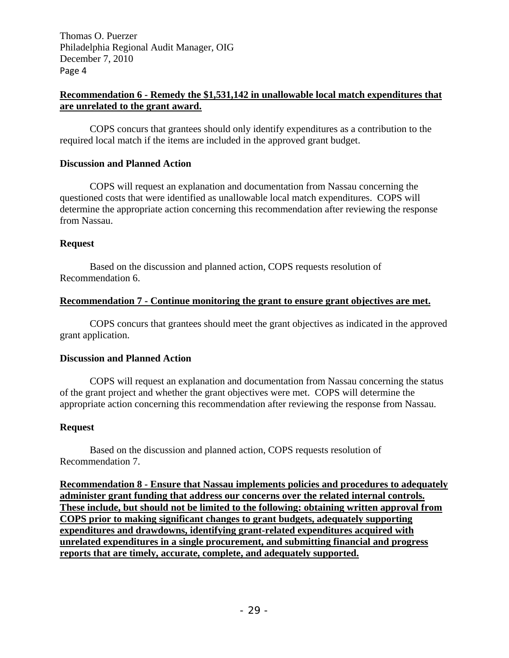Page 4 Thomas O. Puerzer Philadelphia Regional Audit Manager, OIG December 7, 2010

#### **Recommendation 6 - Remedy the \$1,531,142 in unallowable local match expenditures that are unrelated to the grant award.**

COPS concurs that grantees should only identify expenditures as a contribution to the required local match if the items are included in the approved grant budget.

#### **Discussion and Planned Action**

COPS will request an explanation and documentation from Nassau concerning the questioned costs that were identified as unallowable local match expenditures. COPS will determine the appropriate action concerning this recommendation after reviewing the response from Nassau.

#### **Request**

Based on the discussion and planned action, COPS requests resolution of Recommendation 6.

#### **Recommendation 7 - Continue monitoring the grant to ensure grant objectives are met.**

COPS concurs that grantees should meet the grant objectives as indicated in the approved grant application.

#### **Discussion and Planned Action**

COPS will request an explanation and documentation from Nassau concerning the status of the grant project and whether the grant objectives were met. COPS will determine the appropriate action concerning this recommendation after reviewing the response from Nassau.

#### **Request**

Based on the discussion and planned action, COPS requests resolution of Recommendation 7.

**Recommendation 8 - Ensure that Nassau implements policies and procedures to adequately administer grant funding that address our concerns over the related internal controls. These include, but should not be limited to the following: obtaining written approval from COPS prior to making significant changes to grant budgets, adequately supporting expenditures and drawdowns, identifying grant-related expenditures acquired with unrelated expenditures in a single procurement, and submitting financial and progress reports that are timely, accurate, complete, and adequately supported.**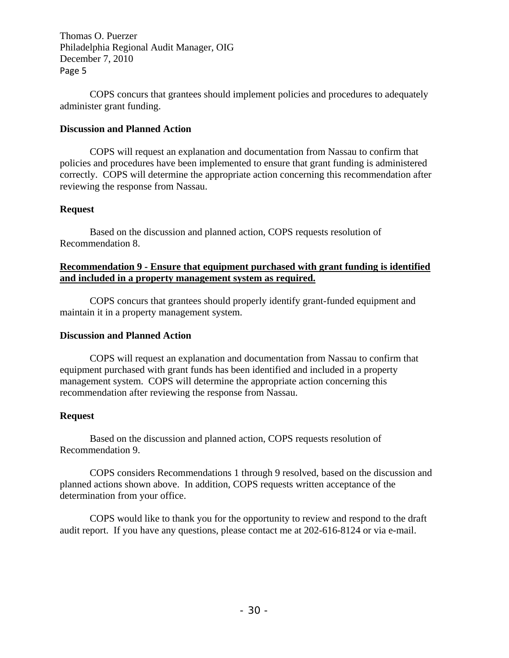Page 5 Thomas O. Puerzer Philadelphia Regional Audit Manager, OIG December 7, 2010

COPS concurs that grantees should implement policies and procedures to adequately administer grant funding.

#### **Discussion and Planned Action**

COPS will request an explanation and documentation from Nassau to confirm that policies and procedures have been implemented to ensure that grant funding is administered correctly. COPS will determine the appropriate action concerning this recommendation after reviewing the response from Nassau.

#### **Request**

Based on the discussion and planned action, COPS requests resolution of Recommendation 8.

#### **Recommendation 9 - Ensure that equipment purchased with grant funding is identified and included in a property management system as required.**

COPS concurs that grantees should properly identify grant-funded equipment and maintain it in a property management system.

#### **Discussion and Planned Action**

COPS will request an explanation and documentation from Nassau to confirm that equipment purchased with grant funds has been identified and included in a property management system. COPS will determine the appropriate action concerning this recommendation after reviewing the response from Nassau.

#### **Request**

Based on the discussion and planned action, COPS requests resolution of Recommendation 9.

COPS considers Recommendations 1 through 9 resolved, based on the discussion and planned actions shown above. In addition, COPS requests written acceptance of the determination from your office.

COPS would like to thank you for the opportunity to review and respond to the draft audit report. If you have any questions, please contact me at 202-616-8124 or via e-mail.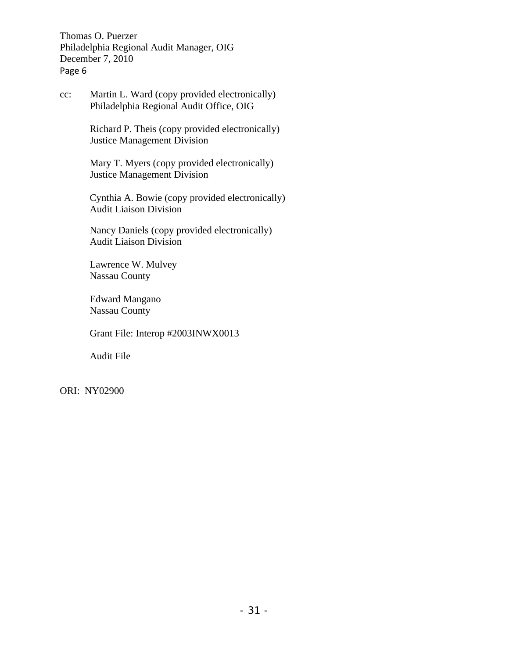Page 6 Thomas O. Puerzer Philadelphia Regional Audit Manager, OIG December 7, 2010

cc: Martin L. Ward (copy provided electronically) Philadelphia Regional Audit Office, OIG

> Richard P. Theis (copy provided electronically) Justice Management Division

Mary T. Myers (copy provided electronically) Justice Management Division

Cynthia A. Bowie (copy provided electronically) Audit Liaison Division

Nancy Daniels (copy provided electronically) Audit Liaison Division

Lawrence W. Mulvey Nassau County

Edward Mangano Nassau County

Grant File: Interop #2003INWX0013

Audit File

ORI: NY02900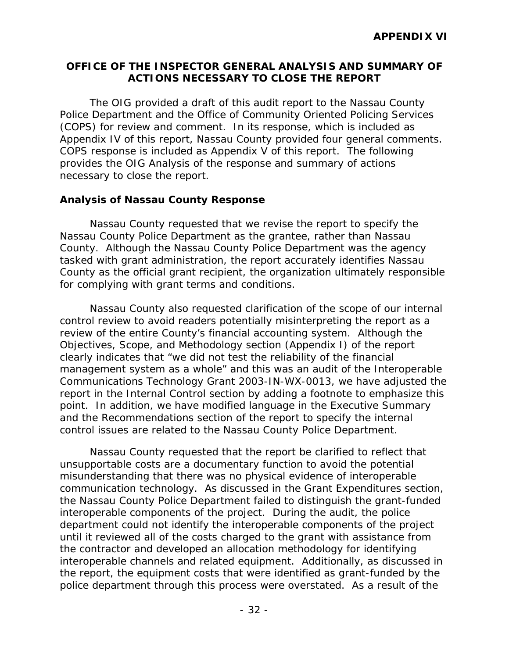## **OFFICE OF THE INSPECTOR GENERAL ANALYSIS AND SUMMARY OF ACTIONS NECESSARY TO CLOSE THE REPORT**

Appendix IV of this report, Nassau County provided four general comments.<br>COPS response is included as Appendix V of this report. The following The OIG provided a draft of this audit report to the Nassau County Police Department and the Office of Community Oriented Policing Services (COPS) for review and comment. In its response, which is included as provides the OIG Analysis of the response and summary of actions necessary to close the report.

## **Analysis of Nassau County Response**

Nassau County requested that we revise the report to specify the Nassau County Police Department as the grantee, rather than Nassau County. Although the Nassau County Police Department was the agency tasked with grant administration, the report accurately identifies Nassau County as the official grant recipient, the organization ultimately responsible for complying with grant terms and conditions.

control issues are related to the Nassau County Police Department. Nassau County also requested clarification of the scope of our internal control review to avoid readers potentially misinterpreting the report as a review of the entire County's financial accounting system. Although the Objectives, Scope, and Methodology section (Appendix I) of the report clearly indicates that "we did not test the reliability of the financial management system as a whole" and this was an audit of the Interoperable Communications Technology Grant 2003-IN-WX-0013, we have adjusted the report in the Internal Control section by adding a footnote to emphasize this point. In addition, we have modified language in the Executive Summary and the Recommendations section of the report to specify the internal

Nassau County requested that the report be clarified to reflect that unsupportable costs are a documentary function to avoid the potential misunderstanding that there was no physical evidence of interoperable communication technology. As discussed in the Grant Expenditures section, the Nassau County Police Department failed to distinguish the grant-funded interoperable components of the project. During the audit, the police department could not identify the interoperable components of the project until it reviewed all of the costs charged to the grant with assistance from the contractor and developed an allocation methodology for identifying interoperable channels and related equipment. Additionally, as discussed in the report, the equipment costs that were identified as grant-funded by the police department through this process were overstated. As a result of the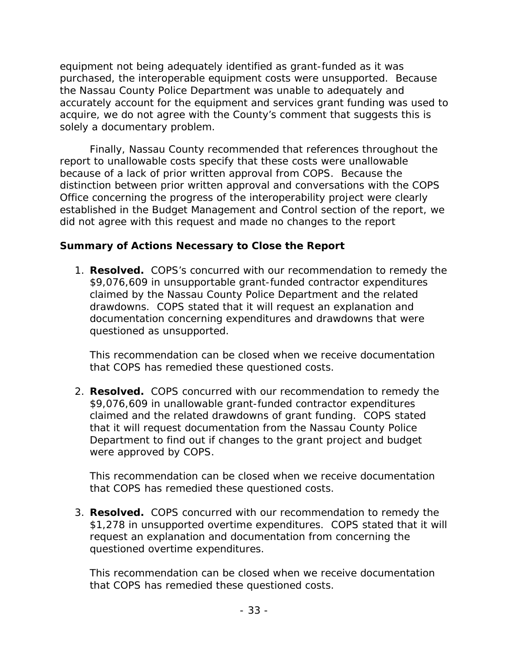equipment not being adequately identified as grant-funded as it was purchased, the interoperable equipment costs were unsupported. Because the Nassau County Police Department was unable to adequately and accurately account for the equipment and services grant funding was used to acquire, we do not agree with the County's comment that suggests this is solely a documentary problem.

Finally, Nassau County recommended that references throughout the report to unallowable costs specify that these costs were unallowable because of a lack of prior written approval from COPS. Because the distinction between prior written approval and conversations with the COPS Office concerning the progress of the interoperability project were clearly established in the Budget Management and Control section of the report, we did not agree with this request and made no changes to the report

# **Summary of Actions Necessary to Close the Report**

1. **Resolved.** COPS's concurred with our recommendation to remedy the \$9,076,609 in unsupportable grant-funded contractor expenditures claimed by the Nassau County Police Department and the related drawdowns. COPS stated that it will request an explanation and documentation concerning expenditures and drawdowns that were questioned as unsupported.

This recommendation can be closed when we receive documentation that COPS has remedied these questioned costs.

2. **Resolved.** COPS concurred with our recommendation to remedy the \$9,076,609 in unallowable grant-funded contractor expenditures claimed and the related drawdowns of grant funding. COPS stated that it will request documentation from the Nassau County Police Department to find out if changes to the grant project and budget were approved by COPS.

This recommendation can be closed when we receive documentation that COPS has remedied these questioned costs.

3. **Resolved.** COPS concurred with our recommendation to remedy the \$1,278 in unsupported overtime expenditures. COPS stated that it will request an explanation and documentation from concerning the questioned overtime expenditures.

This recommendation can be closed when we receive documentation that COPS has remedied these questioned costs.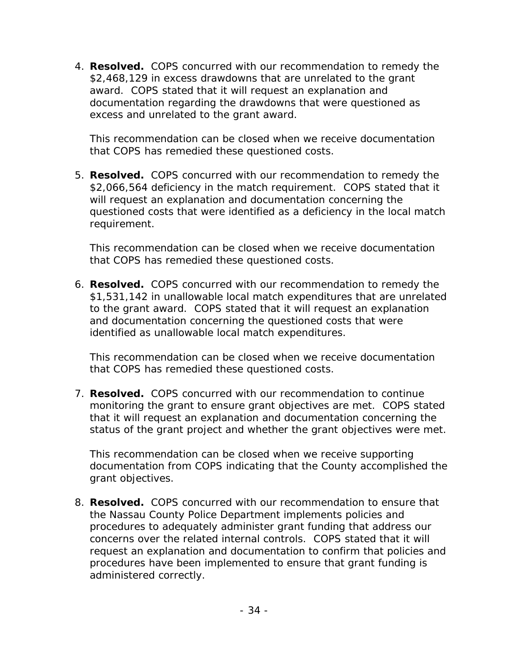4. **Resolved.** COPS concurred with our recommendation to remedy the \$2,468,129 in excess drawdowns that are unrelated to the grant award. COPS stated that it will request an explanation and documentation regarding the drawdowns that were questioned as excess and unrelated to the grant award.

This recommendation can be closed when we receive documentation that COPS has remedied these questioned costs.

5. **Resolved.** COPS concurred with our recommendation to remedy the \$2,066,564 deficiency in the match requirement. COPS stated that it will request an explanation and documentation concerning the questioned costs that were identified as a deficiency in the local match requirement.

This recommendation can be closed when we receive documentation that COPS has remedied these questioned costs.

6. **Resolved.** COPS concurred with our recommendation to remedy the \$1,531,142 in unallowable local match expenditures that are unrelated to the grant award. COPS stated that it will request an explanation and documentation concerning the questioned costs that were identified as unallowable local match expenditures.

This recommendation can be closed when we receive documentation that COPS has remedied these questioned costs.

7. **Resolved.** COPS concurred with our recommendation to continue monitoring the grant to ensure grant objectives are met. COPS stated that it will request an explanation and documentation concerning the status of the grant project and whether the grant objectives were met.

This recommendation can be closed when we receive supporting documentation from COPS indicating that the County accomplished the grant objectives.

8. **Resolved.** COPS concurred with our recommendation to ensure that the Nassau County Police Department implements policies and procedures to adequately administer grant funding that address our concerns over the related internal controls. COPS stated that it will request an explanation and documentation to confirm that policies and procedures have been implemented to ensure that grant funding is administered correctly.